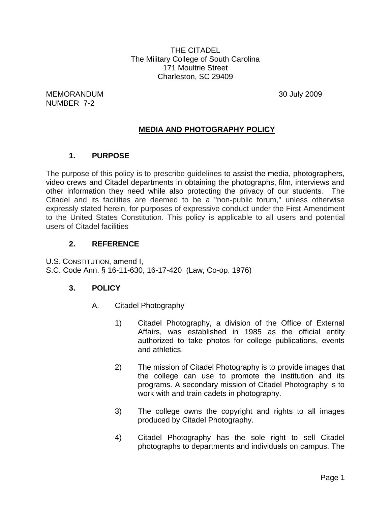THE CITADEL The Military College of South Carolina 171 Moultrie Street Charleston, SC 29409

MEMORANDUM 30 July 2009 NUMBER 7-2

### **MEDIA AND PHOTOGRAPHY POLICY**

### **1. PURPOSE**

The purpose of this policy is to prescribe guidelines to assist the media, photographers, video crews and Citadel departments in obtaining the photographs, film, interviews and other information they need while also protecting the privacy of our students. The Citadel and its facilities are deemed to be a "non-public forum," unless otherwise expressly stated herein, for purposes of expressive conduct under the First Amendment to the United States Constitution. This policy is applicable to all users and potential users of Citadel facilities

#### **2. REFERENCE**

U.S. CONSTITUTION, amend I, S.C. Code Ann. § 16-11-630, 16-17-420 (Law, Co-op. 1976)

#### **3. POLICY**

- A. Citadel Photography
	- 1) Citadel Photography, a division of the Office of External Affairs, was established in 1985 as the official entity authorized to take photos for college publications, events and athletics.
	- 2) The mission of Citadel Photography is to provide images that the college can use to promote the institution and its programs. A secondary mission of Citadel Photography is to work with and train cadets in photography.
	- 3) The college owns the copyright and rights to all images produced by Citadel Photography.
	- 4) Citadel Photography has the sole right to sell Citadel photographs to departments and individuals on campus. The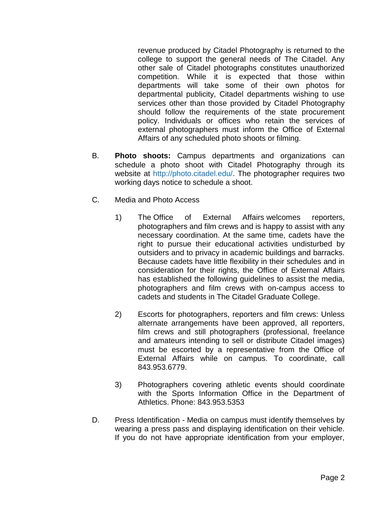revenue produced by Citadel Photography is returned to the college to support the general needs of The Citadel. Any other sale of Citadel photographs constitutes unauthorized competition. While it is expected that those within departments will take some of their own photos for departmental publicity, Citadel departments wishing to use services other than those provided by Citadel Photography should follow the requirements of the state procurement policy. Individuals or offices who retain the services of external photographers must inform the Office of External Affairs of any scheduled photo shoots or filming.

- B. **Photo shoots:** Campus departments and organizations can schedule a photo shoot with Citadel Photography through its website at [http://photo.citadel.edu/.](http://photo.citadel.edu/) The photographer requires two working days notice to schedule a shoot.
- C. Media and Photo Access
	- 1) The Office of External Affairs welcomes reporters, photographers and film crews and is happy to assist with any necessary coordination. At the same time, cadets have the right to pursue their educational activities undisturbed by outsiders and to privacy in academic buildings and barracks. Because cadets have little flexibility in their schedules and in consideration for their rights, the Office of External Affairs has established the following guidelines to assist the media, photographers and film crews with on-campus access to cadets and students in The Citadel Graduate College.
	- 2) Escorts for photographers, reporters and film crews: Unless alternate arrangements have been approved, all reporters, film crews and still photographers (professional, freelance and amateurs intending to sell or distribute Citadel images) must be escorted by a representative from the Office of External Affairs while on campus. To coordinate, call 843.953.6779.
	- 3) Photographers covering athletic events should coordinate with the Sports Information Office in the Department of Athletics. Phone: 843.953.5353
- D. Press Identification Media on campus must identify themselves by wearing a press pass and displaying identification on their vehicle. If you do not have appropriate identification from your employer,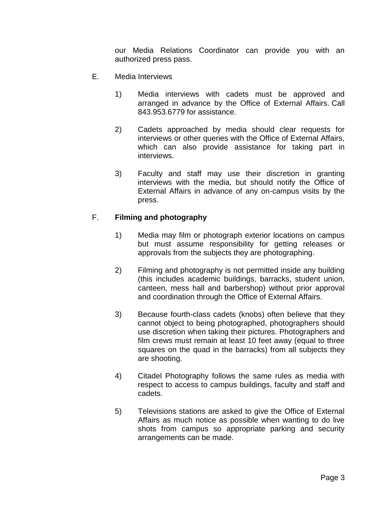our Media Relations Coordinator can provide you with an authorized press pass.

- E. Media Interviews
	- 1) Media interviews with cadets must be approved and arranged in advance by the Office of External Affairs. Call 843.953.6779 for assistance.
	- 2) Cadets approached by media should clear requests for interviews or other queries with the Office of External Affairs, which can also provide assistance for taking part in interviews.
	- 3) Faculty and staff may use their discretion in granting interviews with the media, but should notify the Office of External Affairs in advance of any on-campus visits by the press.

#### F. **Filming and photography**

- 1) Media may film or photograph exterior locations on campus but must assume responsibility for getting releases or approvals from the subjects they are photographing.
- 2) Filming and photography is not permitted inside any building (this includes academic buildings, barracks, student union, canteen, mess hall and barbershop) without prior approval and coordination through the Office of External Affairs.
- 3) Because fourth-class cadets (knobs) often believe that they cannot object to being photographed, photographers should use discretion when taking their pictures. Photographers and film crews must remain at least 10 feet away (equal to three squares on the quad in the barracks) from all subjects they are shooting.
- 4) Citadel Photography follows the same rules as media with respect to access to campus buildings, faculty and staff and cadets.
- 5) Televisions stations are asked to give the Office of External Affairs as much notice as possible when wanting to do live shots from campus so appropriate parking and security arrangements can be made.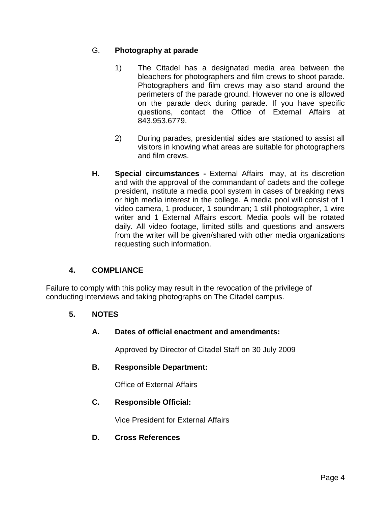### G. **Photography at parade**

- 1) The Citadel has a designated media area between the bleachers for photographers and film crews to shoot parade. Photographers and film crews may also stand around the perimeters of the parade ground. However no one is allowed on the parade deck during parade. If you have specific questions, contact the Office of External Affairs at 843.953.6779.
- 2) During parades, presidential aides are stationed to assist all visitors in knowing what areas are suitable for photographers and film crews.
- **H. Special circumstances -** External Affairs may, at its discretion and with the approval of the commandant of cadets and the college president, institute a media pool system in cases of breaking news or high media interest in the college. A media pool will consist of 1 video camera, 1 producer, 1 soundman; 1 still photographer, 1 wire writer and 1 External Affairs escort. Media pools will be rotated daily. All video footage, limited stills and questions and answers from the writer will be given/shared with other media organizations requesting such information.

# **4. COMPLIANCE**

Failure to comply with this policy may result in the revocation of the privilege of conducting interviews and taking photographs on The Citadel campus.

# **5. NOTES**

### **A. Dates of official enactment and amendments:**

Approved by Director of Citadel Staff on 30 July 2009

### **B. Responsible Department:**

Office of External Affairs

### **C. Responsible Official:**

Vice President for External Affairs

### **D. Cross References**